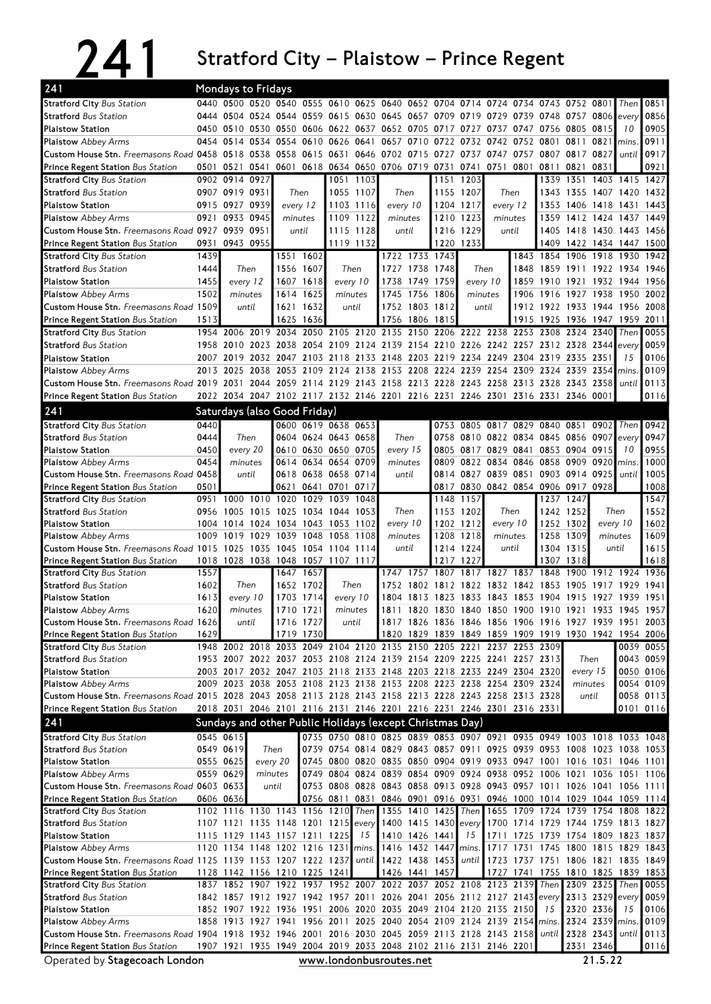## 241 Stratford City – Plaistow – Prince Regent

| 241                                                                                                                                                                                               |      | Mondays to Fridays                                                              |      |                |                     |                |           |                                                                                                                                                |                |                      |                     |                                                           |           |                                    |                          |                 |                |                                                        |
|---------------------------------------------------------------------------------------------------------------------------------------------------------------------------------------------------|------|---------------------------------------------------------------------------------|------|----------------|---------------------|----------------|-----------|------------------------------------------------------------------------------------------------------------------------------------------------|----------------|----------------------|---------------------|-----------------------------------------------------------|-----------|------------------------------------|--------------------------|-----------------|----------------|--------------------------------------------------------|
| <b>Stratford City Bus Station</b>                                                                                                                                                                 |      | 0440 0500 0520 0540 0555 0610 0625 0640 0652 0704 0714 0724 0734 0743 0752 0801 |      |                |                     |                |           |                                                                                                                                                |                |                      |                     |                                                           |           |                                    |                          |                 | Then           | 0851                                                   |
| <b>Stratford Bus Station</b>                                                                                                                                                                      |      | 0444 0504 0524 0544 0559 0615 0630 0645 0657 0709 0719 0729 0739 0748 0757 0806 |      |                |                     |                |           |                                                                                                                                                |                |                      |                     |                                                           |           |                                    |                          |                 | every          | 0856                                                   |
| <b>Plaistow Station</b>                                                                                                                                                                           |      | 0450 0510 0530 0550 0606 0622 0637 0652 0705                                    |      |                |                     |                |           |                                                                                                                                                |                | 0717 0727            |                     | 0737                                                      |           | 0747 0756 0805 0815                |                          |                 | 10             | 0905                                                   |
| <b>Plaistow</b> Abbey Arms                                                                                                                                                                        |      | 0454 0514 0534 0554 0610 0626 0641 0657 0710                                    |      |                |                     |                |           |                                                                                                                                                |                | 0722 0732 0742       |                     |                                                           | 0752 0801 |                                    | 0811 0821                |                 | mins.          | 0911                                                   |
| Custom House Stn. Freemasons Road 0458 0518 0538 0558 0615                                                                                                                                        |      |                                                                                 |      |                |                     |                |           | 0631 0646 0702 0715                                                                                                                            |                |                      |                     | 0727 0737 0747 0757 0807 0817 0827                        |           |                                    |                          |                 | until          | 0917                                                   |
| Prince Regent Station Bus Station                                                                                                                                                                 |      | 0501 0521 0541                                                                  |      |                |                     |                |           | 0601 0618 0634 0650 0706 0719 0731                                                                                                             |                |                      |                     | 0741 0751 0801                                            |           |                                    | 0811 0821 0831           |                 |                | 0921                                                   |
| <b>Stratford City Bus Station</b>                                                                                                                                                                 |      | 0902 0914 0927                                                                  |      |                |                     |                | 1051 1103 |                                                                                                                                                |                | 1151                 | 1203                |                                                           |           | 1339                               | 1351                     | 1403 1415       |                | 1427                                                   |
| <b>Stratford Bus Station</b>                                                                                                                                                                      |      | 0907 0919 0931                                                                  |      | Then           |                     |                | 1055 1107 | Then                                                                                                                                           |                |                      | 1155 1207           | Then                                                      |           | 1343                               | 1355 1407 1420           |                 |                | 1432                                                   |
| <b>Plaistow Station</b>                                                                                                                                                                           |      | 0915 0927 0939                                                                  |      | every 12       |                     | 1103 1116      |           | every 10                                                                                                                                       |                |                      | 1204 1217           | every 12                                                  |           | 1353                               | 1406 1418 1431           |                 |                | 1443                                                   |
| <b>Plaistow</b> Abbey Arms                                                                                                                                                                        |      | 0921 0933 0945                                                                  |      | minutes        |                     | 1109 1122      |           | minutes                                                                                                                                        |                |                      | 1210 1223           |                                                           | minutes   | 1359                               | 1412 1424 1437           |                 |                | 1449                                                   |
| Custom House Stn. Freemasons Road 0927 0939 0951                                                                                                                                                  |      |                                                                                 |      | until          |                     |                | 1115 1128 | until                                                                                                                                          |                |                      | 1216 1229           | until                                                     |           |                                    | 1405 1418 1430 1443 1456 |                 |                |                                                        |
| <b>Prince Regent Station Bus Station</b>                                                                                                                                                          | 0931 | 0943 0955                                                                       |      |                |                     | 1119 1132      |           |                                                                                                                                                |                | 1220                 | 1233                |                                                           |           | 1409                               | 1422 1434 1447 1500      |                 |                |                                                        |
| <b>Stratford City Bus Station</b>                                                                                                                                                                 | 1439 |                                                                                 |      |                | 1551 1602           |                |           |                                                                                                                                                | 1722 1733 1743 |                      |                     |                                                           |           | 1843 1854 1906 1918 1930           |                          |                 |                | 1942                                                   |
| <b>Stratford</b> Bus Station                                                                                                                                                                      | 1444 | Then                                                                            |      |                | 1556 1607           | Then           |           |                                                                                                                                                | 1727 1738 1748 |                      |                     | Then                                                      | 1848      | 1859 1911 1922 1934 1946           |                          |                 |                |                                                        |
| <b>Plaistow Station</b>                                                                                                                                                                           | 1455 | every 12                                                                        |      |                | 1607 1618           | every 10       |           | 1738                                                                                                                                           | 1749           | 1759                 | every 10<br>minutes |                                                           | 1859      | 1910 1921 1932 1944 1956           |                          |                 |                |                                                        |
| <b>Plaistow</b> Abbey Arms                                                                                                                                                                        | 1502 | minutes                                                                         |      |                | 1614 1625           | minutes        |           |                                                                                                                                                | 1745 1756      | 1806                 |                     |                                                           | 1906      | 1916 1927 1938 1950 2002           |                          |                 |                |                                                        |
| Custom House Stn. Freemasons Road 1509                                                                                                                                                            |      | until                                                                           |      | 1621           | 1632                | until          |           |                                                                                                                                                | 1752 1803      | 1812                 |                     | until                                                     |           | 1912 1922 1933 1944 1956 2008      |                          |                 |                |                                                        |
| <b>Prince Regent Station Bus Station</b>                                                                                                                                                          | 1513 |                                                                                 |      | 1625           | 1636                |                |           | 1756 1806                                                                                                                                      |                | 1815                 |                     |                                                           |           | 1915 1925 1936 1947 1959           |                          |                 |                | 2011                                                   |
| <b>Stratford City Bus Station</b>                                                                                                                                                                 |      | 1954 2006 2019 2034 2050 2105 2120 2135 2150 2206 2222 2238 2253 2308 2324 2340 |      |                |                     |                |           |                                                                                                                                                |                |                      |                     |                                                           |           |                                    |                          |                 | Then           | 0055                                                   |
| <b>Stratford Bus Station</b>                                                                                                                                                                      |      | 1958 2010 2023 2038 2054 2109 2124 2139 2154 2210 2226 2242 2257 2312 2328 2344 |      |                |                     |                |           |                                                                                                                                                |                |                      |                     |                                                           |           |                                    |                          |                 | every          | 0059                                                   |
| <b>Plaistow Station</b>                                                                                                                                                                           |      | 2007 2019 2032 2047 2103 2118 2133 2148 2203 2219 2234 2249 2304 2319           |      |                |                     |                |           |                                                                                                                                                |                |                      |                     |                                                           |           |                                    | 2335 2351                |                 | 15             | 0106                                                   |
| <b>Plaistow</b> Abbey Arms                                                                                                                                                                        |      | 2013 2025                                                                       |      | 2038 2053 2109 |                     |                |           | 2124 2138 2153 2208 2224 2239 2254                                                                                                             |                |                      |                     |                                                           | 2309 2324 |                                    | 2339 2354 mins.          |                 |                | 0109                                                   |
| Custom House Stn. Freemasons Road 2019 2031 2044 2059 2114 2129 2143 2158 2213 2228 2243 2258 2313 2328                                                                                           |      |                                                                                 |      |                |                     |                |           |                                                                                                                                                |                |                      |                     |                                                           |           |                                    | 2343 2358                |                 | until          | 0113                                                   |
| Prince Regent Station Bus Station                                                                                                                                                                 |      | 2022 2034 2047 2102 2117 2132 2146 2201 2216 2231 2246 2301 2316 2331 2346 0001 |      |                |                     |                |           |                                                                                                                                                |                |                      |                     |                                                           |           |                                    |                          |                 |                | 0116                                                   |
| 241                                                                                                                                                                                               |      | Saturdays (also Good Friday)                                                    |      |                |                     |                |           |                                                                                                                                                |                |                      |                     |                                                           |           |                                    |                          |                 |                |                                                        |
| <b>Stratford City Bus Station</b>                                                                                                                                                                 | 0440 |                                                                                 |      |                | 0600 0619 0638 0653 |                |           |                                                                                                                                                |                |                      |                     | 0753 0805 0817 0829 0840 0851 0902                        |           |                                    |                          |                 | Then           | 0942                                                   |
| <b>Stratford Bus Station</b>                                                                                                                                                                      | 0444 | Then                                                                            |      |                | 0604 0624 0643 0658 |                |           | Then                                                                                                                                           |                |                      |                     | 0758 0810 0822 0834 0845 0856 0907                        |           |                                    |                          |                 | every          | 0947                                                   |
| <b>Plaistow Station</b>                                                                                                                                                                           | 0450 | every 20                                                                        |      |                | 0610 0630 0650 0705 |                |           | every 15                                                                                                                                       |                |                      |                     | 0805 0817 0829 0841 0853 0904 0915                        |           |                                    |                          |                 | 10             | 0955                                                   |
| <b>Plaistow</b> Abbey Arms                                                                                                                                                                        | 0454 | minutes                                                                         |      | 0614           |                     | 0634 0654 0709 |           | minutes                                                                                                                                        |                |                      |                     | 0809 0822 0834 0846 0858 0909 0920 mins                   |           |                                    |                          |                 |                | 1000                                                   |
| Custom House Stn. Freemasons Road 0458                                                                                                                                                            | 0501 | until                                                                           |      | 0621           | 0618 0638 0658 0714 | 0641 0701 0717 |           | until                                                                                                                                          |                |                      |                     | 0814 0827 0839 0851<br>0817 0830 0842 0854 0906 0917 0928 |           |                                    | 0903 0914 0925           |                 | until          | 1005<br>1008                                           |
| <b>Prince Regent Station Bus Station</b><br><b>Stratford City Bus Station</b>                                                                                                                     |      | 0951 1000 1010 1020 1029                                                        |      |                |                     | 1039           | 1048      |                                                                                                                                                |                |                      | 1148 1157           |                                                           |           |                                    | 1237 1247                |                 |                | 1547                                                   |
| <b>Stratford</b> Bus Station                                                                                                                                                                      | 0956 | 1005 1015 1025 1034 1044 1053                                                   |      |                |                     |                |           | Then                                                                                                                                           |                |                      | 1153 1202           |                                                           | Then      |                                    | 1242 1252                |                 | Then           | 1552                                                   |
| <b>Plaistow Station</b>                                                                                                                                                                           |      | 1004 1014 1024 1034 1043 1053 1102                                              |      |                |                     |                |           | every 10                                                                                                                                       |                |                      | 1202 1212           | every 10                                                  |           |                                    | 1252 1302                | every 10        |                | 1602                                                   |
| <b>Plaistow</b> Abbey Arms                                                                                                                                                                        | 1009 | 1019                                                                            | 1029 | 1039 1048      |                     | 1058           | 1108      | minutes                                                                                                                                        |                |                      | 1208 1218           | minutes                                                   |           |                                    | 1258 1309                | minutes         |                | 1609                                                   |
| Custom House Stn. Freemasons Road 1015                                                                                                                                                            |      | 1025 1035 1045 1054 1104 1114                                                   |      |                |                     |                |           | until                                                                                                                                          |                |                      | 1214 1224           | until                                                     |           |                                    | 1304 1315                | until           |                | 1615                                                   |
| Prince Regent Station Bus Station                                                                                                                                                                 |      | 1018 1028 1038 1048 1057 1107 1117                                              |      |                |                     |                |           |                                                                                                                                                |                | 1217                 | 1227                |                                                           |           | 1307                               | 1318                     |                 |                | 1618                                                   |
| <b>Stratford City Bus Station</b>                                                                                                                                                                 | 1557 |                                                                                 |      | 1647 1657      |                     |                |           |                                                                                                                                                | 1747 1757 1807 |                      |                     | 1817 1827 1837 1848                                       |           |                                    |                          |                 | 1900 1912 1924 | 1936                                                   |
| <b>Stratford Bus Station</b>                                                                                                                                                                      | 1602 | Then                                                                            |      |                | 1652 1702           | Then           |           |                                                                                                                                                |                |                      |                     | 1752 1802 1812 1822 1832 1842 1853 1905 1917 1929         |           |                                    |                          |                 |                | 1941                                                   |
| <b>Plaistow Station</b>                                                                                                                                                                           | 1613 | every 10                                                                        |      |                | 1703 1714           | every 10       |           |                                                                                                                                                |                |                      |                     | 1804 1813 1823 1833 1843 1853 1904 1915 1927 1939 1951    |           |                                    |                          |                 |                |                                                        |
| Plaistow Abbey Arms                                                                                                                                                                               | 1620 | minutes                                                                         |      | 1710 1721      |                     | minutes        |           |                                                                                                                                                |                |                      |                     |                                                           |           |                                    |                          |                 |                | 1811 1820 1830 1840 1850 1900 1910 1921 1933 1945 1957 |
| Custom House Stn. Freemasons Road 1626                                                                                                                                                            |      | until                                                                           |      |                | 1716 1727           | until          |           |                                                                                                                                                |                |                      |                     | 1817 1826 1836 1846 1856 1906 1916 1927 1939 1951 2003    |           |                                    |                          |                 |                |                                                        |
| <b>Prince Regent Station Bus Station</b>                                                                                                                                                          | 1629 |                                                                                 |      | 1719 1730      |                     |                |           |                                                                                                                                                |                |                      |                     | 1820 1829 1839 1849 1859 1909 1919 1930 1942 1954 2006    |           |                                    |                          |                 |                |                                                        |
| <b>Stratford City Bus Station</b>                                                                                                                                                                 |      | 1948 2002 2018 2033 2049 2104 2120 2135 2150 2205 2221 2237 2253 2309           |      |                |                     |                |           |                                                                                                                                                |                |                      |                     |                                                           |           |                                    |                          |                 |                | 0039 0055                                              |
| <b>Stratford</b> Bus Station                                                                                                                                                                      |      | 1953 2007 2022 2037 2053 2108 2124 2139 2154 2209 2225 2241 2257 2313           |      |                |                     |                |           |                                                                                                                                                |                |                      |                     |                                                           |           |                                    | Then                     |                 |                | 0043 0059                                              |
| <b>Plaistow Station</b>                                                                                                                                                                           |      | 2003 2017 2032 2047 2103 2118 2133 2148 2203 2218 2233 2249 2304 2320           |      |                |                     |                |           |                                                                                                                                                |                |                      |                     |                                                           |           |                                    | every 15                 |                 |                | 0050 0106                                              |
| <b>Plaistow</b> Abbey Arms                                                                                                                                                                        |      | 2009 2023 2038 2053 2108 2123 2138 2153 2208 2223 2238 2254 2309 2324           |      |                |                     |                |           |                                                                                                                                                |                |                      |                     |                                                           |           |                                    | minutes                  |                 |                | 0054 0109                                              |
| Custom House Stn. Freemasons Road 2015 2028 2043 2058 2113 2128 2143 2158 2213 2228 2243 2258 2313 2328                                                                                           |      |                                                                                 |      |                |                     |                |           |                                                                                                                                                |                |                      |                     |                                                           |           |                                    | until                    |                 |                | 0058 0113                                              |
| Prince Regent Station Bus Station                                                                                                                                                                 |      | 2018 2031 2046 2101 2116 2131 2146 2201 2216 2231 2246 2301 2316 2331           |      |                |                     |                |           |                                                                                                                                                |                |                      |                     |                                                           |           |                                    |                          |                 |                | 0101 0116                                              |
| 241                                                                                                                                                                                               |      | Sundays and other Public Holidays (except Christmas Day)                        |      |                |                     |                |           |                                                                                                                                                |                |                      |                     |                                                           |           |                                    |                          |                 |                |                                                        |
| <b>Stratford City Bus Station</b>                                                                                                                                                                 |      | 0545 0615                                                                       |      |                |                     |                |           | 0735 0750 0810 0825 0839 0853 0907 0921 0935 0949 1003 1018 1033 1048                                                                          |                |                      |                     |                                                           |           |                                    |                          |                 |                |                                                        |
| <b>Stratford Bus Station</b>                                                                                                                                                                      |      | 0549 0619                                                                       |      | Then           |                     |                |           | 0739 0754 0814 0829 0843 0857 0911 0925 0939 0953 1008 1023 1038 1053                                                                          |                |                      |                     |                                                           |           |                                    |                          |                 |                |                                                        |
| <b>Plaistow Station</b>                                                                                                                                                                           |      | 0555 0625                                                                       |      | every 20       |                     |                |           | 0745 0800 0820 0835 0850 0904 0919 0933 0947 1001 1016 1031 1046 1101                                                                          |                |                      |                     |                                                           |           |                                    |                          |                 |                |                                                        |
| <b>Plaistow</b> Abbey Arms                                                                                                                                                                        |      | 0559 0629                                                                       |      | minutes        |                     |                |           | 0749 0804 0824 0839 0854 0909 0924 0938 0952 1006 1021 1036 1051 1106<br>0753 0808 0828 0843 0858 0913 0928 0943 0957 1011 1026 1041 1056 1111 |                |                      |                     |                                                           |           |                                    |                          |                 |                |                                                        |
| Custom House Stn. Freemasons Road 0603 0633                                                                                                                                                       |      |                                                                                 |      | until          |                     |                |           | 0756 0811 0831 0846 0901 0916 0931 0946 1000 1014 1029 1044 1059 1114                                                                          |                |                      |                     |                                                           |           |                                    |                          |                 |                |                                                        |
| Prince Regent Station Bus Station<br><b>Stratford City Bus Station</b>                                                                                                                            |      | 0606 0636<br>1102 1116 1130 1143 1156 1210 Then                                 |      |                |                     |                |           |                                                                                                                                                |                |                      |                     | 1355 1410 1425 Then 1655 1709 1724 1739 1754 1808 1822    |           |                                    |                          |                 |                |                                                        |
| <b>Stratford Bus Station</b>                                                                                                                                                                      |      | 1107 1121 1135 1148 1201 1215 every                                             |      |                |                     |                |           |                                                                                                                                                |                |                      |                     | 1400 1415 1430 every 1700 1714 1729 1744 1759 1813 1827   |           |                                    |                          |                 |                |                                                        |
| <b>Plaistow Station</b>                                                                                                                                                                           |      | 1115 1129 1143 1157 1211 1225                                                   |      |                |                     |                | 15        |                                                                                                                                                | 1410 1426 1441 |                      | 15                  |                                                           |           | 1711 1725 1739 1754 1809 1823 1837 |                          |                 |                |                                                        |
| <b>Plaistow</b> Abbey Arms                                                                                                                                                                        |      | 1120 1134 1148 1202 1216 1231 mins.                                             |      |                |                     |                |           |                                                                                                                                                |                | 1416 1432 1447 mins. |                     |                                                           |           | 1717 1731 1745 1800 1815 1829 1843 |                          |                 |                |                                                        |
| Custom House Stn. Freemasons Road 1125 1139 1153 1207 1222 1237                                                                                                                                   |      |                                                                                 |      |                |                     |                | until     |                                                                                                                                                | 1422 1438 1453 |                      | until               |                                                           |           | 1723 1737 1751 1806 1821 1835 1849 |                          |                 |                |                                                        |
| Prince Regent Station Bus Station                                                                                                                                                                 |      | 1128 1142 1156 1210 1225 1241                                                   |      |                |                     |                |           |                                                                                                                                                | 1426 1441 1457 |                      |                     |                                                           |           | 1727 1741 1755 1810 1825 1839 1853 |                          |                 |                |                                                        |
| <b>Stratford City Bus Station</b>                                                                                                                                                                 |      | 1837 1852 1907 1922 1937 1952 2007 2022 2037 2052 2108 2123 2139 Then 2309 2325 |      |                |                     |                |           |                                                                                                                                                |                |                      |                     |                                                           |           |                                    |                          |                 | Then           | 0055                                                   |
| <b>Stratford Bus Station</b>                                                                                                                                                                      |      | 1842 1857 1912 1927 1942 1957 2011 2026 2041 2056 2112 2127 2143 every          |      |                |                     |                |           |                                                                                                                                                |                |                      |                     |                                                           |           |                                    |                          | 2313 2329 every |                | 0059                                                   |
| <b>Plaistow Station</b>                                                                                                                                                                           |      | 1852 1907 1922 1936 1951 2006 2020 2035 2049 2104 2120 2135 2150                |      |                |                     |                |           |                                                                                                                                                |                |                      |                     |                                                           |           | -15                                |                          | 2320 2336       | 15             | 0106                                                   |
| <b>Plaistow</b> Abbey Arms                                                                                                                                                                        |      | 1858 1913 1927 1941 1956 2011 2025 2040 2054 2109 2124 2139 2154 mins.          |      |                |                     |                |           |                                                                                                                                                |                |                      |                     |                                                           |           |                                    |                          | 2324 2339 mins. |                | 0109                                                   |
| Custom House Stn. Freemasons Road 1904 1918 1932 1946 2001 2016 2030 2045 2059 2113 2128 2143 2158 until                                                                                          |      |                                                                                 |      |                |                     |                |           |                                                                                                                                                |                |                      |                     |                                                           |           |                                    |                          | 2328 2343       |                | until 0113                                             |
|                                                                                                                                                                                                   |      |                                                                                 |      |                |                     |                |           |                                                                                                                                                |                |                      |                     |                                                           |           |                                    |                          |                 |                |                                                        |
| Prince Regent Station Bus Station<br>1907 1921 1935 1949 2004 2019 2033 2048 2102 2116 2131 2146 2201<br>2331 2346<br>0116<br>21.5.22<br>www.londonbusroutes.net<br>Operated by Stagecoach London |      |                                                                                 |      |                |                     |                |           |                                                                                                                                                |                |                      |                     |                                                           |           |                                    |                          |                 |                |                                                        |